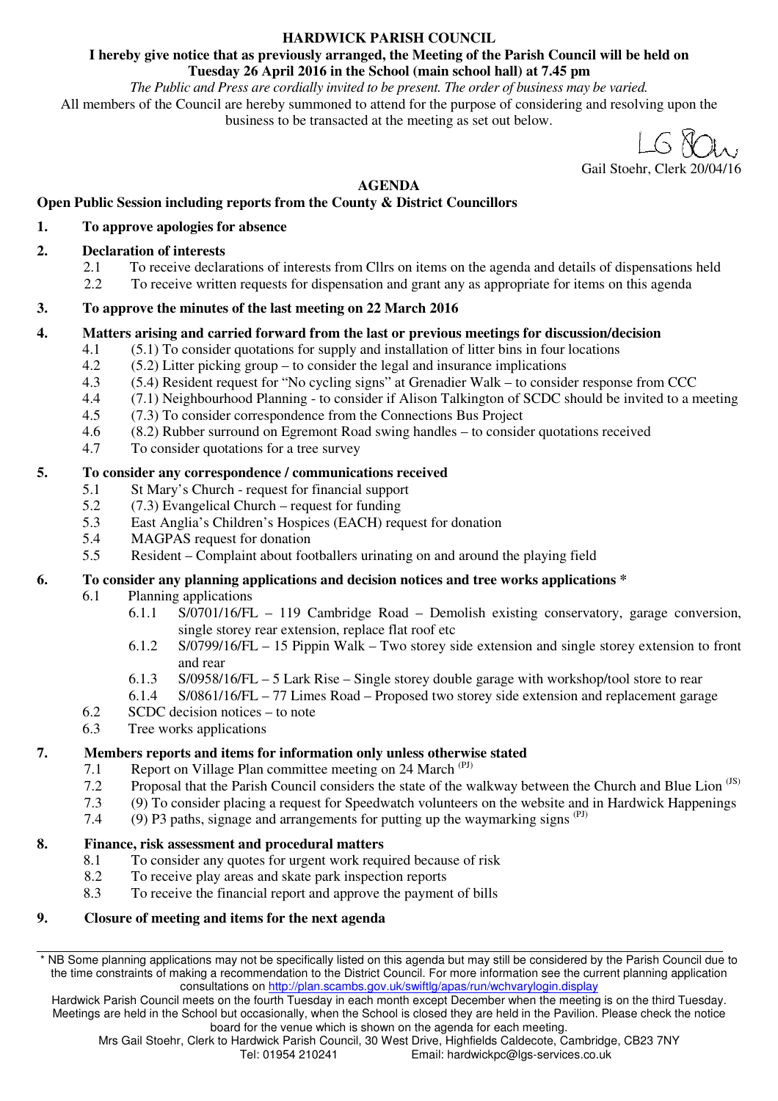## **HARDWICK PARISH COUNCIL**

### **I hereby give notice that as previously arranged, the Meeting of the Parish Council will be held on Tuesday 26 April 2016 in the School (main school hall) at 7.45 pm**

*The Public and Press are cordially invited to be present. The order of business may be varied.*  All members of the Council are hereby summoned to attend for the purpose of considering and resolving upon the business to be transacted at the meeting as set out below.

Gail Stoehr, Clerk 20/04/16

## **AGENDA**

## **Open Public Session including reports from the County & District Councillors**

## **1. To approve apologies for absence**

## **2. Declaration of interests**

- 2.1 To receive declarations of interests from Cllrs on items on the agenda and details of dispensations held<br>2.2 To receive written requests for dispensation and grant any as appropriate for items on this agenda
- 2.2 To receive written requests for dispensation and grant any as appropriate for items on this agenda

### **3. To approve the minutes of the last meeting on 22 March 2016**

### **4. Matters arising and carried forward from the last or previous meetings for discussion/decision**

- 4.1 (5.1) To consider quotations for supply and installation of litter bins in four locations  $(5.2)$  Litter picking group to consider the legal and insurance implications
- $(5.2)$  Litter picking group to consider the legal and insurance implications
- 4.3 (5.4) Resident request for "No cycling signs" at Grenadier Walk to consider response from CCC
- 4.4 (7.1) Neighbourhood Planning to consider if Alison Talkington of SCDC should be invited to a meeting
- 4.5 (7.3) To consider correspondence from the Connections Bus Project
- 4.6 (8.2) Rubber surround on Egremont Road swing handles to consider quotations received
- 4.7 To consider quotations for a tree survey

## **5. To consider any correspondence / communications received**

- 5.1 St Mary's Church request for financial support
- 5.2 (7.3) Evangelical Church request for funding
- 5.3 East Anglia's Children's Hospices (EACH) request for donation
- 5.4 MAGPAS request for donation
- 5.5 Resident Complaint about footballers urinating on and around the playing field

## **6. To consider any planning applications and decision notices and tree works applications \***

- 6.1 Planning applications
	- 6.1.1 S/0701/16/FL 119 Cambridge Road Demolish existing conservatory, garage conversion, single storey rear extension, replace flat roof etc
	- 6.1.2 S/0799/16/FL 15 Pippin Walk Two storey side extension and single storey extension to front and rear
	- 6.1.3 S/0958/16/FL 5 Lark Rise Single storey double garage with workshop/tool store to rear<br>6.1.4 S/0861/16/FL 77 Limes Road Proposed two storey side extension and replacement gara
	- $S/0861/16/FL 77$  Limes Road Proposed two storey side extension and replacement garage
- 6.2 SCDC decision notices to note
- 6.3 Tree works applications

### **7. Members reports and items for information only unless otherwise stated**

- 7.1 Report on Village Plan committee meeting on 24 March  $(PJ)$
- 7.2 Proposal that the Parish Council considers the state of the walkway between the Church and Blue Lion <sup>(JS)</sup>
- 7.3 (9) To consider placing a request for Speedwatch volunteers on the website and in Hardwick Happenings
- 7.4 (9) P3 paths, signage and arrangements for putting up the waymarking signs  $(PJ)$

## **8. Finance, risk assessment and procedural matters**

- 8.1 To consider any quotes for urgent work required because of risk
- 8.2 To receive play areas and skate park inspection reports
- 8.3 To receive the financial report and approve the payment of bills

### **9. Closure of meeting and items for the next agenda**

<sup>\*</sup> NB Some planning applications may not be specifically listed on this agenda but may still be considered by the Parish Council due to the time constraints of making a recommendation to the District Council. For more information see the current planning application consultations on http://plan.scambs.gov.uk/swiftlg/apas/run/wchvarylogin.display

Hardwick Parish Council meets on the fourth Tuesday in each month except December when the meeting is on the third Tuesday. Meetings are held in the School but occasionally, when the School is closed they are held in the Pavilion. Please check the notice board for the venue which is shown on the agenda for each meeting.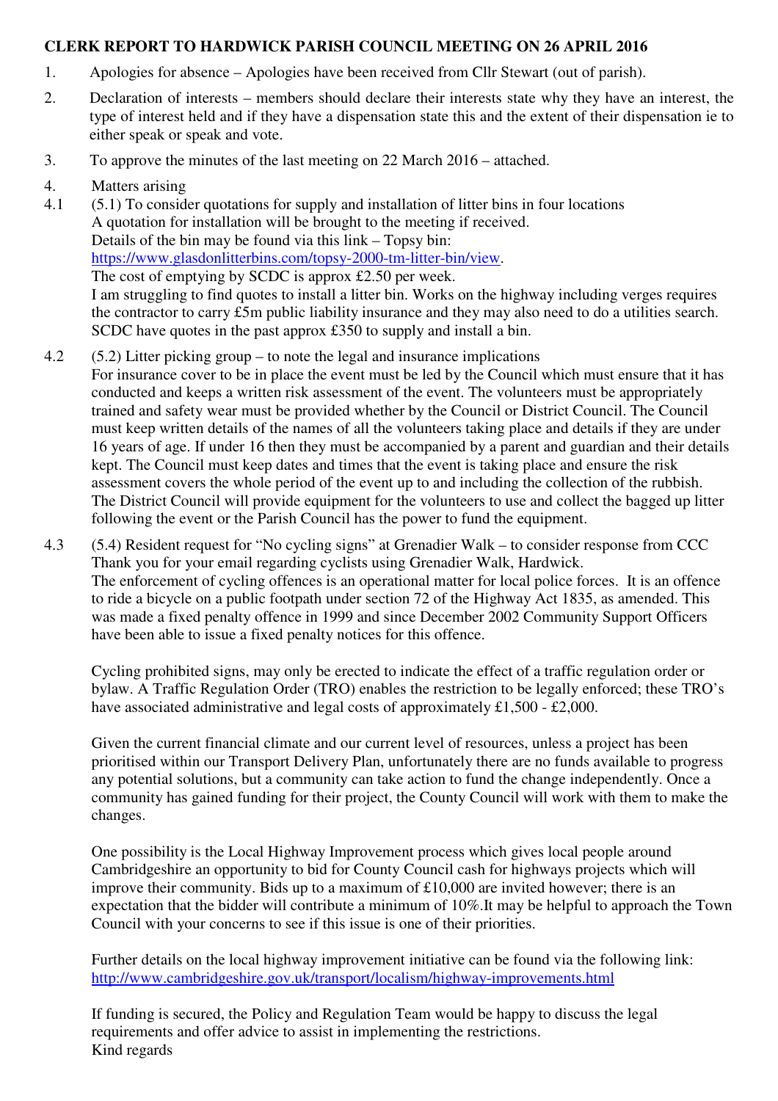## **CLERK REPORT TO HARDWICK PARISH COUNCIL MEETING ON 26 APRIL 2016**

- 1. Apologies for absence Apologies have been received from Cllr Stewart (out of parish).
- 2. Declaration of interests members should declare their interests state why they have an interest, the type of interest held and if they have a dispensation state this and the extent of their dispensation ie to either speak or speak and vote.
- 3. To approve the minutes of the last meeting on 22 March 2016 attached.
- 4. Matters arising
- 4.1 (5.1) To consider quotations for supply and installation of litter bins in four locations A quotation for installation will be brought to the meeting if received. Details of the bin may be found via this link – Topsy bin: https://www.glasdonlitterbins.com/topsy-2000-tm-litter-bin/view. The cost of emptying by SCDC is approx £2.50 per week. I am struggling to find quotes to install a litter bin. Works on the highway including verges requires the contractor to carry £5m public liability insurance and they may also need to do a utilities search. SCDC have quotes in the past approx £350 to supply and install a bin.
- 4.2 (5.2) Litter picking group to note the legal and insurance implications For insurance cover to be in place the event must be led by the Council which must ensure that it has conducted and keeps a written risk assessment of the event. The volunteers must be appropriately trained and safety wear must be provided whether by the Council or District Council. The Council must keep written details of the names of all the volunteers taking place and details if they are under 16 years of age. If under 16 then they must be accompanied by a parent and guardian and their details kept. The Council must keep dates and times that the event is taking place and ensure the risk assessment covers the whole period of the event up to and including the collection of the rubbish. The District Council will provide equipment for the volunteers to use and collect the bagged up litter following the event or the Parish Council has the power to fund the equipment.
- 4.3 (5.4) Resident request for "No cycling signs" at Grenadier Walk to consider response from CCC Thank you for your email regarding cyclists using Grenadier Walk, Hardwick. The enforcement of cycling offences is an operational matter for local police forces. It is an offence to ride a bicycle on a public footpath under section 72 of the Highway Act 1835, as amended. This was made a fixed penalty offence in 1999 and since December 2002 Community Support Officers have been able to issue a fixed penalty notices for this offence.

Cycling prohibited signs, may only be erected to indicate the effect of a traffic regulation order or bylaw. A Traffic Regulation Order (TRO) enables the restriction to be legally enforced; these TRO's have associated administrative and legal costs of approximately £1,500 - £2,000.

Given the current financial climate and our current level of resources, unless a project has been prioritised within our Transport Delivery Plan, unfortunately there are no funds available to progress any potential solutions, but a community can take action to fund the change independently. Once a community has gained funding for their project, the County Council will work with them to make the changes.

One possibility is the Local Highway Improvement process which gives local people around Cambridgeshire an opportunity to bid for County Council cash for highways projects which will improve their community. Bids up to a maximum of £10,000 are invited however; there is an expectation that the bidder will contribute a minimum of 10%.It may be helpful to approach the Town Council with your concerns to see if this issue is one of their priorities.

Further details on the local highway improvement initiative can be found via the following link: http://www.cambridgeshire.gov.uk/transport/localism/highway-improvements.html

If funding is secured, the Policy and Regulation Team would be happy to discuss the legal requirements and offer advice to assist in implementing the restrictions. Kind regards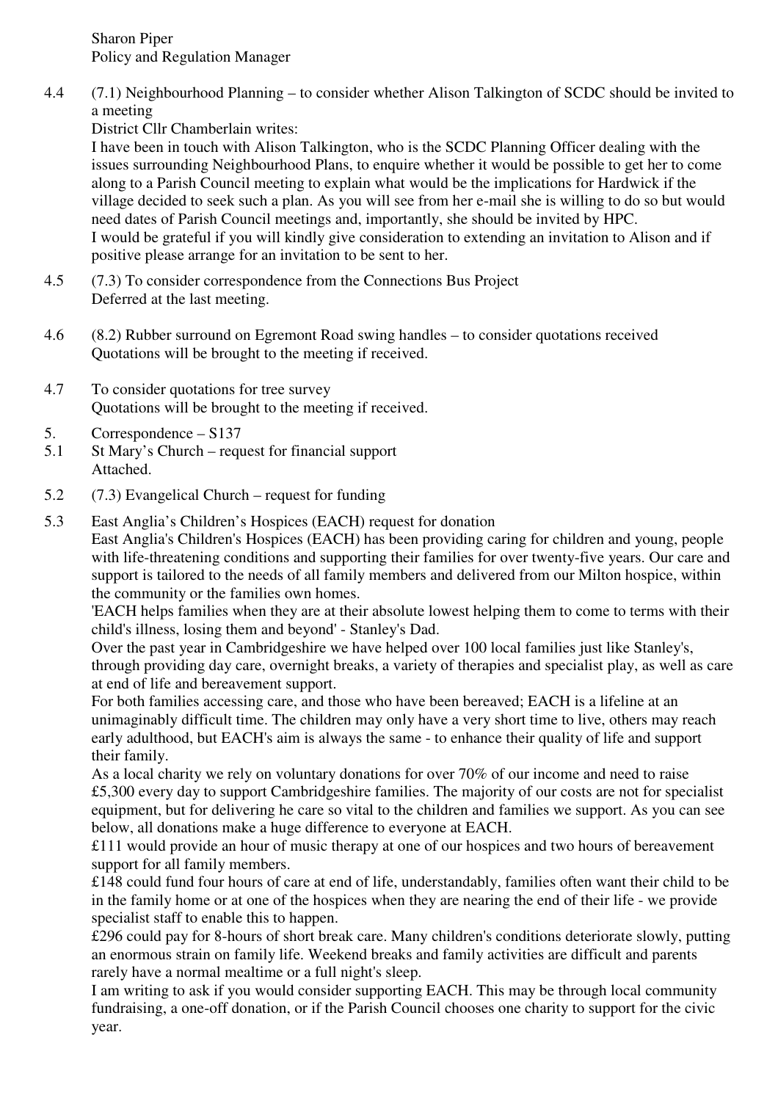Sharon Piper Policy and Regulation Manager

4.4 (7.1) Neighbourhood Planning – to consider whether Alison Talkington of SCDC should be invited to a meeting

District Cllr Chamberlain writes:

I have been in touch with Alison Talkington, who is the SCDC Planning Officer dealing with the issues surrounding Neighbourhood Plans, to enquire whether it would be possible to get her to come along to a Parish Council meeting to explain what would be the implications for Hardwick if the village decided to seek such a plan. As you will see from her e-mail she is willing to do so but would need dates of Parish Council meetings and, importantly, she should be invited by HPC. I would be grateful if you will kindly give consideration to extending an invitation to Alison and if positive please arrange for an invitation to be sent to her.

- 4.5 (7.3) To consider correspondence from the Connections Bus Project Deferred at the last meeting.
- 4.6 (8.2) Rubber surround on Egremont Road swing handles to consider quotations received Quotations will be brought to the meeting if received.
- 4.7 To consider quotations for tree survey Quotations will be brought to the meeting if received.
- 5. Correspondence S137
- 5.1 St Mary's Church request for financial support Attached.
- 5.2 (7.3) Evangelical Church request for funding
- 5.3 East Anglia's Children's Hospices (EACH) request for donation East Anglia's Children's Hospices (EACH) has been providing caring for children and young, people with life-threatening conditions and supporting their families for over twenty-five years. Our care and support is tailored to the needs of all family members and delivered from our Milton hospice, within the community or the families own homes.

'EACH helps families when they are at their absolute lowest helping them to come to terms with their child's illness, losing them and beyond' - Stanley's Dad.

Over the past year in Cambridgeshire we have helped over 100 local families just like Stanley's, through providing day care, overnight breaks, a variety of therapies and specialist play, as well as care at end of life and bereavement support.

For both families accessing care, and those who have been bereaved; EACH is a lifeline at an unimaginably difficult time. The children may only have a very short time to live, others may reach early adulthood, but EACH's aim is always the same - to enhance their quality of life and support their family.

As a local charity we rely on voluntary donations for over 70% of our income and need to raise £5,300 every day to support Cambridgeshire families. The majority of our costs are not for specialist equipment, but for delivering he care so vital to the children and families we support. As you can see below, all donations make a huge difference to everyone at EACH.

£111 would provide an hour of music therapy at one of our hospices and two hours of bereavement support for all family members.

£148 could fund four hours of care at end of life, understandably, families often want their child to be in the family home or at one of the hospices when they are nearing the end of their life - we provide specialist staff to enable this to happen.

£296 could pay for 8-hours of short break care. Many children's conditions deteriorate slowly, putting an enormous strain on family life. Weekend breaks and family activities are difficult and parents rarely have a normal mealtime or a full night's sleep.

I am writing to ask if you would consider supporting EACH. This may be through local community fundraising, a one-off donation, or if the Parish Council chooses one charity to support for the civic year.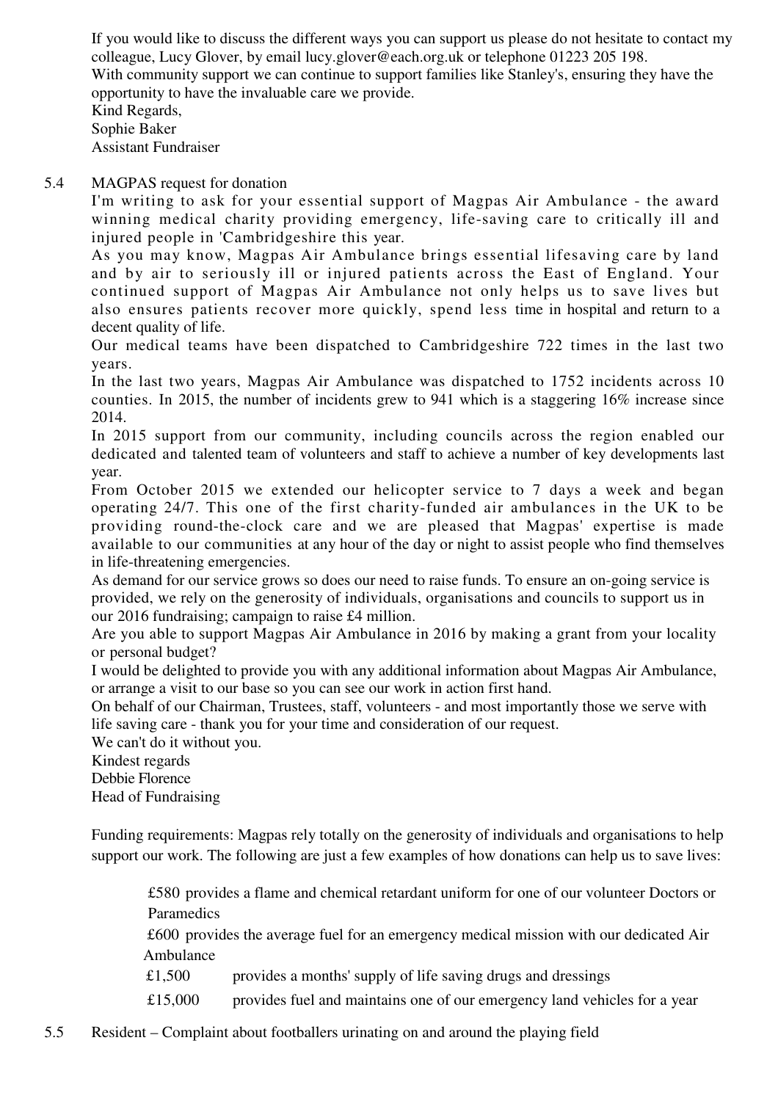If you would like to discuss the different ways you can support us please do not hesitate to contact my colleague, Lucy Glover, by email lucy.glover@each.org.uk or telephone 01223 205 198. With community support we can continue to support families like Stanley's, ensuring they have the opportunity to have the invaluable care we provide. Kind Regards, Sophie Baker Assistant Fundraiser

## 5.4 MAGPAS request for donation

I'm writing to ask for your essential support of Magpas Air Ambulance - the award winning medical charity providing emergency, life-saving care to critically ill and injured people in 'Cambridgeshire this year.

As you may know, Magpas Air Ambulance brings essential lifesaving care by land and by air to seriously ill or injured patients across the East of England. Your continued support of Magpas Air Ambulance not only helps us to save lives but also ensures patients recover more quickly, spend less time in hospital and return to a decent quality of life.

Our medical teams have been dispatched to Cambridgeshire 722 times in the last two years.

In the last two years, Magpas Air Ambulance was dispatched to 1752 incidents across 10 counties. In 2015, the number of incidents grew to 941 which is a staggering 16% increase since 2014.

In 2015 support from our community, including councils across the region enabled our dedicated and talented team of volunteers and staff to achieve a number of key developments last year.

From October 2015 we extended our helicopter service to 7 days a week and began operating 24/7. This one of the first charity-funded air ambulances in the UK to be providing round-the-clock care and we are pleased that Magpas' expertise is made available to our communities at any hour of the day or night to assist people who find themselves in life-threatening emergencies.

As demand for our service grows so does our need to raise funds. To ensure an on-going service is provided, we rely on the generosity of individuals, organisations and councils to support us in our 2016 fundraising; campaign to raise £4 million.

Are you able to support Magpas Air Ambulance in 2016 by making a grant from your locality or personal budget?

I would be delighted to provide you with any additional information about Magpas Air Ambulance, or arrange a visit to our base so you can see our work in action first hand.

On behalf of our Chairman, Trustees, staff, volunteers - and most importantly those we serve with life saving care - thank you for your time and consideration of our request.

We can't do it without you.

Kindest regards Debbie Florence

Head of Fundraising

Funding requirements: Magpas rely totally on the generosity of individuals and organisations to help support our work. The following are just a few examples of how donations can help us to save lives:

 £580 provides a flame and chemical retardant uniform for one of our volunteer Doctors or Paramedics

 £600 provides the average fuel for an emergency medical mission with our dedicated Air Ambulance

£1,500 provides a months' supply of life saving drugs and dressings

£15,000 provides fuel and maintains one of our emergency land vehicles for a year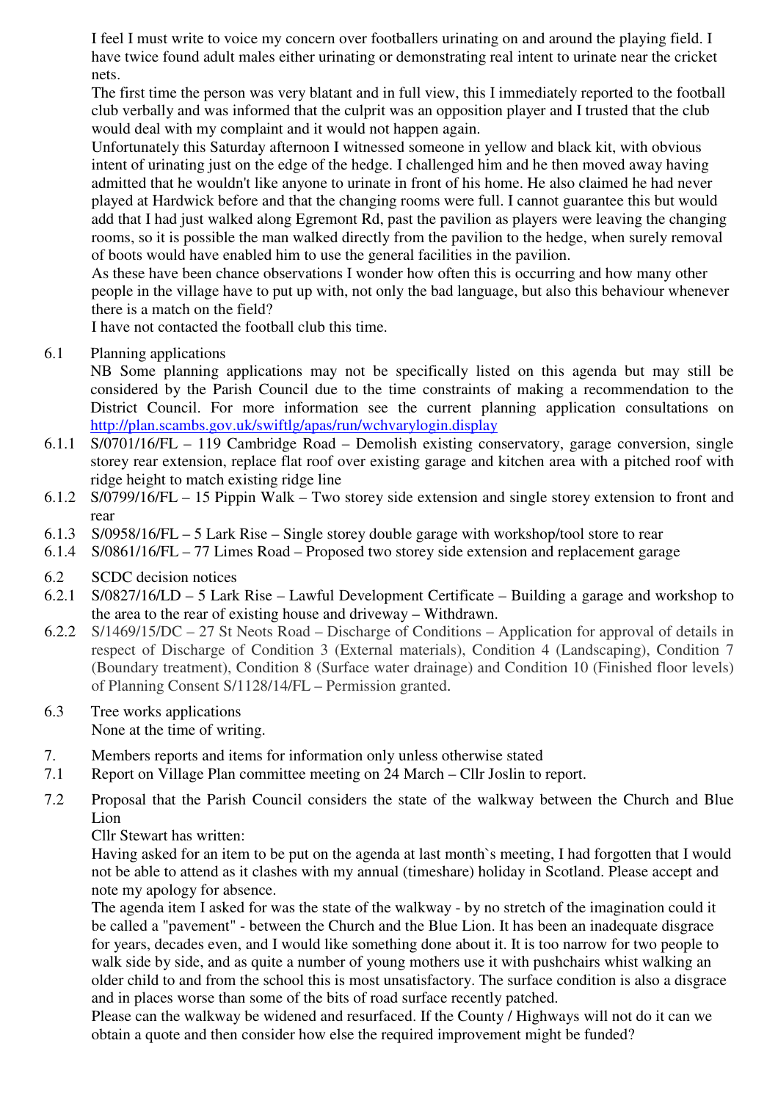I feel I must write to voice my concern over footballers urinating on and around the playing field. I have twice found adult males either urinating or demonstrating real intent to urinate near the cricket nets.

The first time the person was very blatant and in full view, this I immediately reported to the football club verbally and was informed that the culprit was an opposition player and I trusted that the club would deal with my complaint and it would not happen again.

Unfortunately this Saturday afternoon I witnessed someone in yellow and black kit, with obvious intent of urinating just on the edge of the hedge. I challenged him and he then moved away having admitted that he wouldn't like anyone to urinate in front of his home. He also claimed he had never played at Hardwick before and that the changing rooms were full. I cannot guarantee this but would add that I had just walked along Egremont Rd, past the pavilion as players were leaving the changing rooms, so it is possible the man walked directly from the pavilion to the hedge, when surely removal of boots would have enabled him to use the general facilities in the pavilion.

As these have been chance observations I wonder how often this is occurring and how many other people in the village have to put up with, not only the bad language, but also this behaviour whenever there is a match on the field?

I have not contacted the football club this time.

6.1 Planning applications

NB Some planning applications may not be specifically listed on this agenda but may still be considered by the Parish Council due to the time constraints of making a recommendation to the District Council. For more information see the current planning application consultations on http://plan.scambs.gov.uk/swiftlg/apas/run/wchvarylogin.display

- 6.1.1 S/0701/16/FL 119 Cambridge Road Demolish existing conservatory, garage conversion, single storey rear extension, replace flat roof over existing garage and kitchen area with a pitched roof with ridge height to match existing ridge line
- 6.1.2 S/0799/16/FL 15 Pippin Walk Two storey side extension and single storey extension to front and rear
- 6.1.3 S/0958/16/FL 5 Lark Rise Single storey double garage with workshop/tool store to rear
- 6.1.4 S/0861/16/FL 77 Limes Road Proposed two storey side extension and replacement garage
- 6.2 SCDC decision notices
- 6.2.1 S/0827/16/LD 5 Lark Rise Lawful Development Certificate Building a garage and workshop to the area to the rear of existing house and driveway – Withdrawn.
- 6.2.2 S/1469/15/DC 27 St Neots Road Discharge of Conditions Application for approval of details in respect of Discharge of Condition 3 (External materials), Condition 4 (Landscaping), Condition 7 (Boundary treatment), Condition 8 (Surface water drainage) and Condition 10 (Finished floor levels) of Planning Consent S/1128/14/FL – Permission granted.
- 6.3 Tree works applications None at the time of writing.
- 7. Members reports and items for information only unless otherwise stated
- 7.1 Report on Village Plan committee meeting on 24 March Cllr Joslin to report.
- 7.2 Proposal that the Parish Council considers the state of the walkway between the Church and Blue Lion

Cllr Stewart has written:

Having asked for an item to be put on the agenda at last month`s meeting, I had forgotten that I would not be able to attend as it clashes with my annual (timeshare) holiday in Scotland. Please accept and note my apology for absence.

The agenda item I asked for was the state of the walkway - by no stretch of the imagination could it be called a "pavement" - between the Church and the Blue Lion. It has been an inadequate disgrace for years, decades even, and I would like something done about it. It is too narrow for two people to walk side by side, and as quite a number of young mothers use it with pushchairs whist walking an older child to and from the school this is most unsatisfactory. The surface condition is also a disgrace and in places worse than some of the bits of road surface recently patched.

Please can the walkway be widened and resurfaced. If the County / Highways will not do it can we obtain a quote and then consider how else the required improvement might be funded?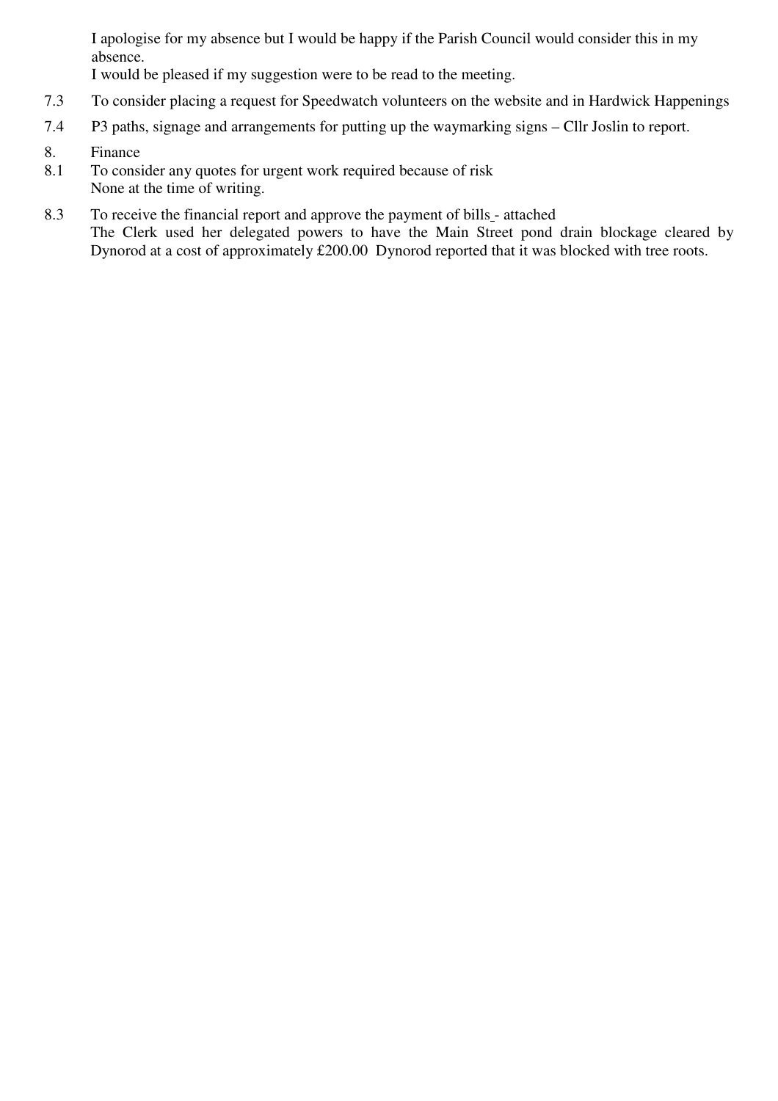I apologise for my absence but I would be happy if the Parish Council would consider this in my absence.

I would be pleased if my suggestion were to be read to the meeting.

- 7.3 To consider placing a request for Speedwatch volunteers on the website and in Hardwick Happenings
- 7.4 P3 paths, signage and arrangements for putting up the waymarking signs Cllr Joslin to report.
- 8. Finance
- 8.1 To consider any quotes for urgent work required because of risk None at the time of writing.
- 8.3 To receive the financial report and approve the payment of bills attached The Clerk used her delegated powers to have the Main Street pond drain blockage cleared by Dynorod at a cost of approximately £200.00 Dynorod reported that it was blocked with tree roots.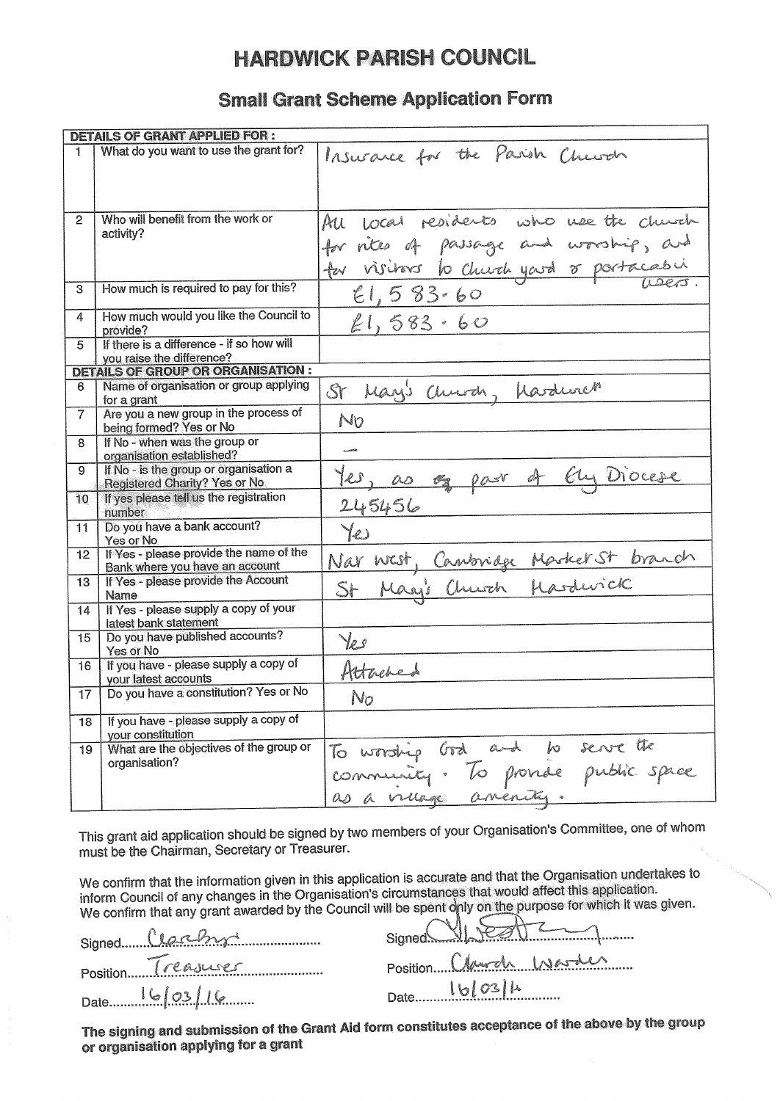# **HARDWICK PARISH COUNCIL**

## **Small Grant Scheme Application Form**

|                  | <b>DETAILS OF GRANT APPLIED FOR:</b>                                           |                                                                                                                                |
|------------------|--------------------------------------------------------------------------------|--------------------------------------------------------------------------------------------------------------------------------|
| 1                | What do you want to use the grant for?                                         | Insurance for the Parish Church                                                                                                |
| $\overline{2}$   | Who will benefit from the work or<br>activity?                                 | All local residents who use the church<br>for rites of passage and worship, and<br>for visitors to church yourd or portacabing |
| 3                | How much is required to pay for this?                                          | 21,583.60                                                                                                                      |
| 4                | How much would you like the Council to<br>provide?                             | 21,583.60                                                                                                                      |
| 5                | If there is a difference - if so how will<br>you raise the difference?         |                                                                                                                                |
|                  | <b>DETAILS OF GROUP OR ORGANISATION :</b>                                      |                                                                                                                                |
| 6                | Name of organisation or group applying<br>for a grant                          | St May's Church, Mardurer                                                                                                      |
| $\overline{7}$   | Are you a new group in the process of<br>being formed? Yes or No               | No                                                                                                                             |
| 8                | If No - when was the group or<br>organisation established?                     |                                                                                                                                |
| 9                | If No - is the group or organisation a<br><b>Registered Charity? Yes or No</b> | 1es, as og par of En Diocese                                                                                                   |
| 10 <sub>10</sub> | If yes please tell us the registration<br>number                               | 245456                                                                                                                         |
| 11.              | Do you have a bank account?<br>Yes or No.                                      | $Y_{\epsilon}$                                                                                                                 |
| 12               | If Yes - please provide the name of the<br>Bank where you have an account      |                                                                                                                                |
| 13               | If Yes - please provide the Account<br>Name                                    | Nar west, Canbridge Marker St branch                                                                                           |
| 14               | If Yes - please supply a copy of your<br>latest bank statement                 |                                                                                                                                |
| 15               | Do you have published accounts?<br>Yes or No                                   | Yes                                                                                                                            |
| 16               | If you have - please supply a copy of<br>your latest accounts                  | Attached                                                                                                                       |
| 17               | Do you have a constitution? Yes or No                                          | No                                                                                                                             |
| 18               | If you have - please supply a copy of<br>your constitution                     |                                                                                                                                |
| 19               | What are the objectives of the group or<br>organisation?                       | To worship God and to serve the<br>community. To promise public space                                                          |
|                  |                                                                                | as a village anenity.                                                                                                          |

This grant aid application should be signed by two members of your Organisation's Committee, one of whom must be the Chairman, Secretary or Treasurer.

We confirm that the information given in this application is accurate and that the Organisation undertakes to inform Council of any changes in the Organisation's circumstances that would affect this application. We confirm that any grant awarded by the Council will be spent only on the purpose for which it was given.

| Signed Clarky      |  |
|--------------------|--|
| Position Treasurer |  |
|                    |  |
|                    |  |

|      | Signed VIDEATZ          |
|------|-------------------------|
|      | Position Charles Washer |
| Date | 16/03/1                 |

The signing and submission of the Grant Aid form constitutes acceptance of the above by the group or organisation applying for a grant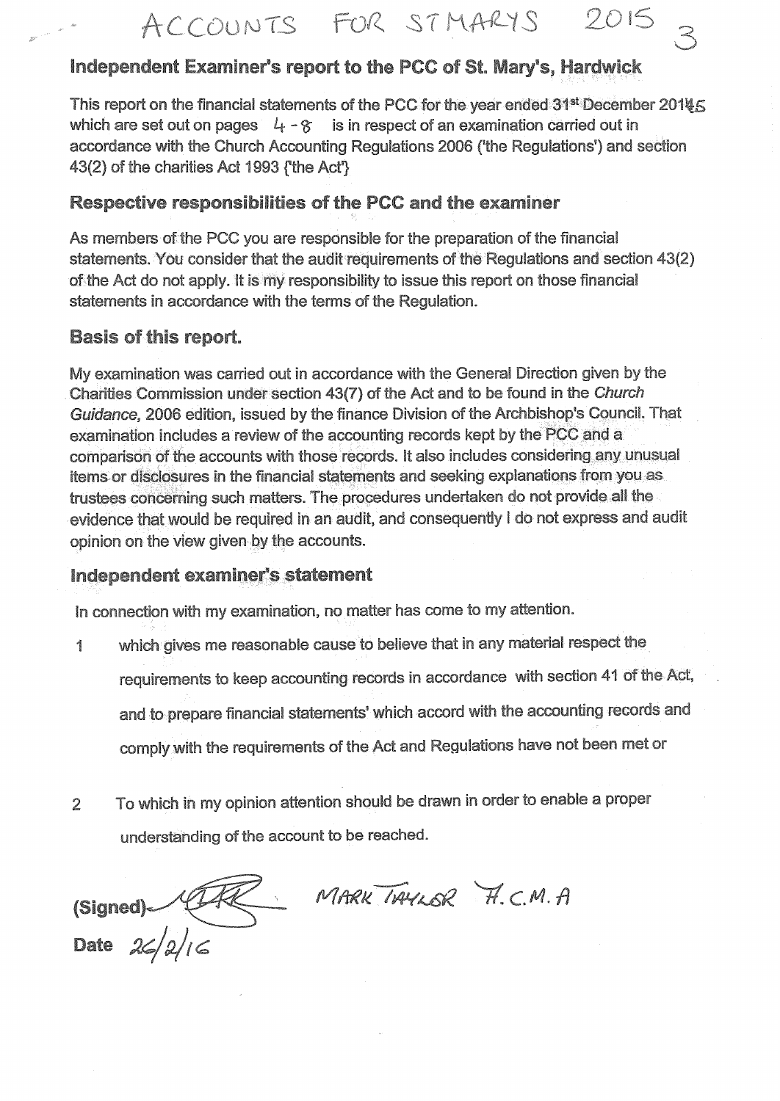## Independent Examiner's report to the PCC of St. Mary's, Hardwick

This report on the financial statements of the PCC for the year ended 31<sup>st</sup> December 20145 which are set out on pages  $4 - 8$  is in respect of an examination carried out in accordance with the Church Accounting Regulations 2006 ('the Regulations') and section 43(2) of the charities Act 1993 *('the Act'')* 

## **Respective responsibilities of the PCC and the examiner**

As members of the PCC you are responsible for the preparation of the financial statements. You consider that the audit requirements of the Regulations and section 43(2) of the Act do not apply. It is my responsibility to issue this report on those financial statements in accordance with the terms of the Regulation.

## **Basis of this report.**

My examination was carried out in accordance with the General Direction given by the Charities Commission under section 43(7) of the Act and to be found in the Church Guidance, 2006 edition, issued by the finance Division of the Archbishop's Council. That examination includes a review of the accounting records kept by the PCC and a comparison of the accounts with those records. It also includes considering any unusual items or disclosures in the financial statements and seeking explanations from you as trustees concerning such matters. The procedures undertaken do not provide all the evidence that would be required in an audit, and consequently I do not express and audit opinion on the view given by the accounts.

## Independent examiner's statement

In connection with my examination, no matter has come to my attention.

- which gives me reasonable cause to believe that in any material respect the  $\frac{d}{dt}$ requirements to keep accounting records in accordance with section 41 of the Act, and to prepare financial statements' which accord with the accounting records and comply with the requirements of the Act and Regulations have not been met or
- To which in my opinion attention should be drawn in order to enable a proper  $\overline{2}$ understanding of the account to be reached.

MARK TAYLOR H.C.M.A (Signed) **Date**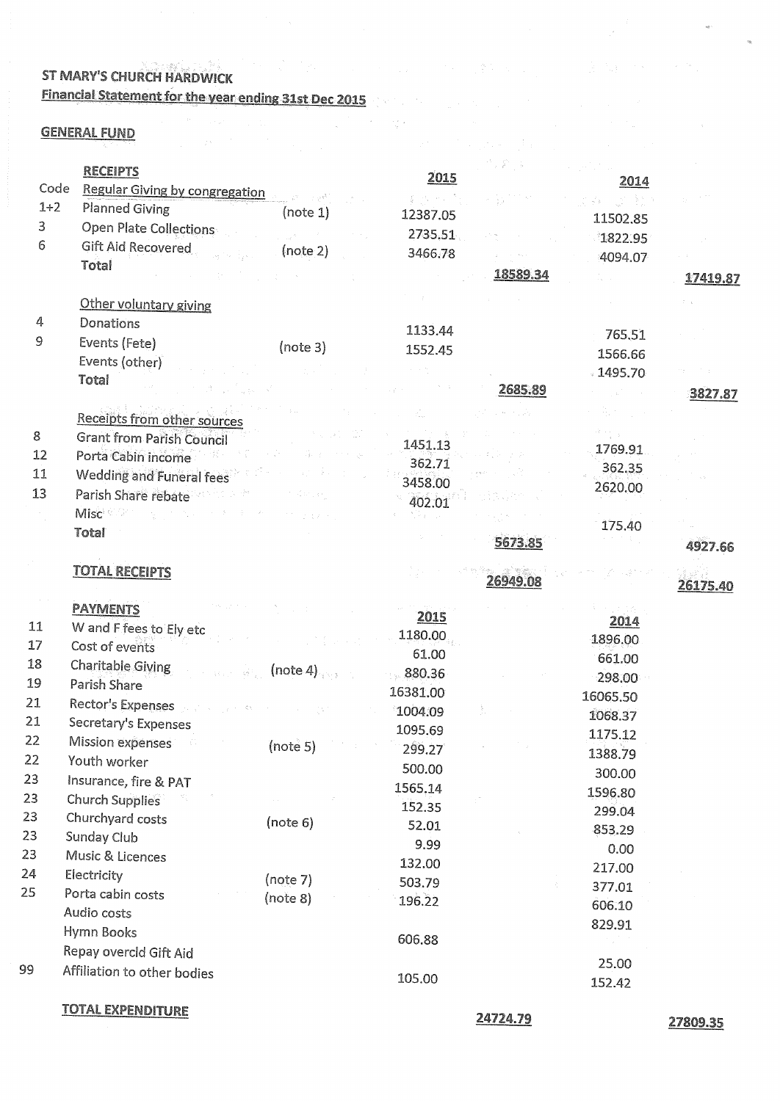## **1999年,我们的一个人,我们的人们的人,我们的人们的人,我们的人们的人** ST MARY'S CHURCH HARDWICK Financial Statement for the year ending 31st Dec 2015

# **GENERAL FUND**

|                | <b>RECEIPTS</b>                       |                                                               |          |          |          |          |
|----------------|---------------------------------------|---------------------------------------------------------------|----------|----------|----------|----------|
| Code           | <b>Regular Giving by congregation</b> |                                                               | 2015     |          | 2014     |          |
| $1+2$          | <b>Planned Giving</b>                 |                                                               |          |          |          |          |
| $\overline{3}$ | Open Plate Collections                | (note 1)                                                      | 12387.05 |          | 11502.85 |          |
| 6              | <b>Gift Aid Recovered</b>             | $\mathcal{L}_{\mathcal{A}}$ , and $\mathcal{L}_{\mathcal{A}}$ | 2735,51  |          | 1822.95  |          |
|                | Total                                 | (note 2)                                                      | 3466.78  |          | 4094.07  |          |
|                |                                       |                                                               |          | 18589.34 |          | 17419.87 |
|                | Other voluntary giving                |                                                               |          |          |          |          |
| 4              | Donations                             |                                                               |          |          |          |          |
| 9              | Events (Fete)                         |                                                               | 1133.44  |          | 765.51   |          |
|                | Events (other)                        | (note 3)                                                      | 1552.45  |          | 1566.66  |          |
|                | Total                                 |                                                               |          |          | .1495.70 |          |
|                |                                       |                                                               |          | 2685.89  |          | 3827.87  |
|                | Receipts from other sources           |                                                               |          |          |          |          |
| 8              | <b>Grant from Parish Council</b>      |                                                               |          |          |          |          |
| 12             | Porta Cabin income                    |                                                               | 1451.13  |          | 1769.91  |          |
| 11             |                                       |                                                               | 362.71   |          | 362.35   |          |
| 13             | Wedding and Funeral fees              |                                                               | 3458.00  |          | 2620.00  |          |
|                | Parish Share rebate                   |                                                               | 402.01   |          |          |          |
|                | Misc <sup>e</sup> Company and the     |                                                               |          |          | 175.40   |          |
|                | Total                                 |                                                               |          | 5673.85  |          | 4927.66  |
|                | <b>TOTAL RECEIPTS</b>                 |                                                               |          | 26949.08 |          | 26175.40 |
|                | <b>PAYMENTS</b>                       |                                                               |          |          |          |          |
| 11             | W and F fees to Ely etc               |                                                               | 2015     |          | 2014     |          |
| 17             | Cost of events                        |                                                               | 1180.00  |          | 1896.00  |          |
| 18             | Charitable Giving                     |                                                               | 61.00    |          | 661.00   |          |
| 19             | Parish Share                          | (note 4)                                                      | 880.36   |          | 298.00   |          |
| 21             |                                       |                                                               | 16381.00 |          | 16065.50 |          |
| 21             | Rector's Expenses                     |                                                               | 1004.09  |          | 1068.37  |          |
| 22             | Secretary's Expenses                  |                                                               | 1095.69  |          | 1175.12  |          |
| 22             | Mission expenses                      | (note 5)                                                      | 299.27   |          | 1388.79  |          |
| 23             | Youth worker                          |                                                               | 500.00   |          | 300.00   |          |
|                | Insurance, fire & PAT                 |                                                               | 1565.14  |          | 1596.80  |          |
| 23             | <b>Church Supplies</b>                |                                                               | 152.35   |          | 299.04   |          |
| 23             | Churchyard costs                      | (note 6)                                                      | 52.01    |          | 853.29   |          |
| 23             | Sunday Club                           |                                                               | 9.99     |          | 0.00     |          |
| 23             | Music & Licences                      |                                                               | 132.00   |          | 217.00   |          |
| 24             | Electricity                           | (note 7)                                                      | 503.79   |          | 377.01   |          |
| 25             | Porta cabin costs                     | (note 8)                                                      | 196.22   |          | 606.10   |          |
|                | Audio costs                           |                                                               |          |          | 829.91   |          |
|                | Hymn Books                            |                                                               | 606.88   |          |          |          |
|                | Repay overcld Gift Aid                |                                                               |          |          |          |          |
| 99             | Affiliation to other bodies           |                                                               | 105.00   |          | 25.00    |          |
|                |                                       |                                                               |          |          | 152.42   |          |
|                | "/"\"" A I "**//*\******              |                                                               |          |          |          |          |

a Maria Maria da Barato<br>18 de estadounidense de la Carlo de Capela<br>19 de estadounidense de la Capela de Capela

<u>IOTAL EXPENDITURE</u>

24724.79

27809.35

 $\sim$   $\sim$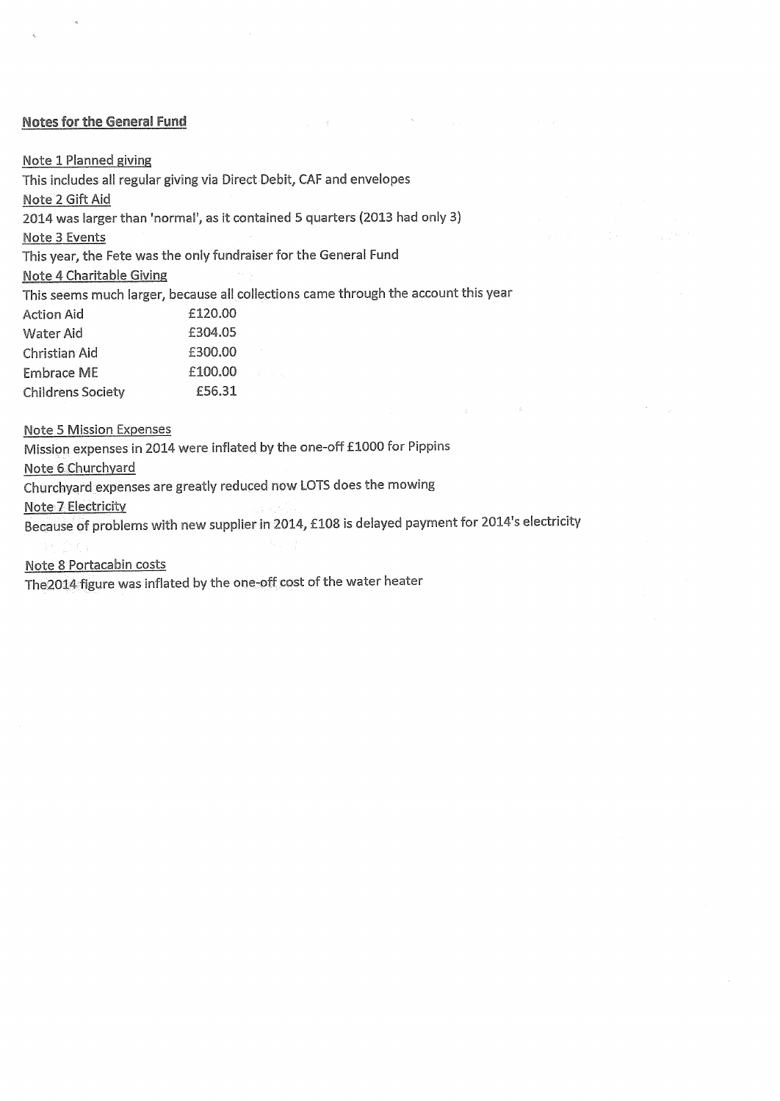#### **Notes for the General Fund**

Note 1 Planned giving

This includes all regular giving via Direct Debit, CAF and envelopes

Note 2 Gift Aid

2014 was larger than 'normal', as it contained 5 quarters (2013 had only 3)

Note 3 Events

This year, the Fete was the only fundraiser for the General Fund

Note 4 Charitable Giving

This seems much larger, because all collections came through the account this year

 $\sim 10^{11}$ 

 $\sim 10^{-1}$ 

| Action Aid        | £120.00 |  |
|-------------------|---------|--|
| Water Aid         | £304.05 |  |
| Christian Aid     | £300.00 |  |
| Embrace ME        | £100.00 |  |
| Childrens Societv | £56.31  |  |

**Note 5 Mission Expenses** 

Mission expenses in 2014 were inflated by the one-off £1000 for Pippins

Note 6 Churchyard

Churchyard expenses are greatly reduced now LOTS does the mowing

Note 7 Electricity

Because of problems with new supplier in 2014, £108 is delayed payment for 2014's electricity

Note 8 Portacabin costs

The 2014 figure was inflated by the one-off cost of the water heater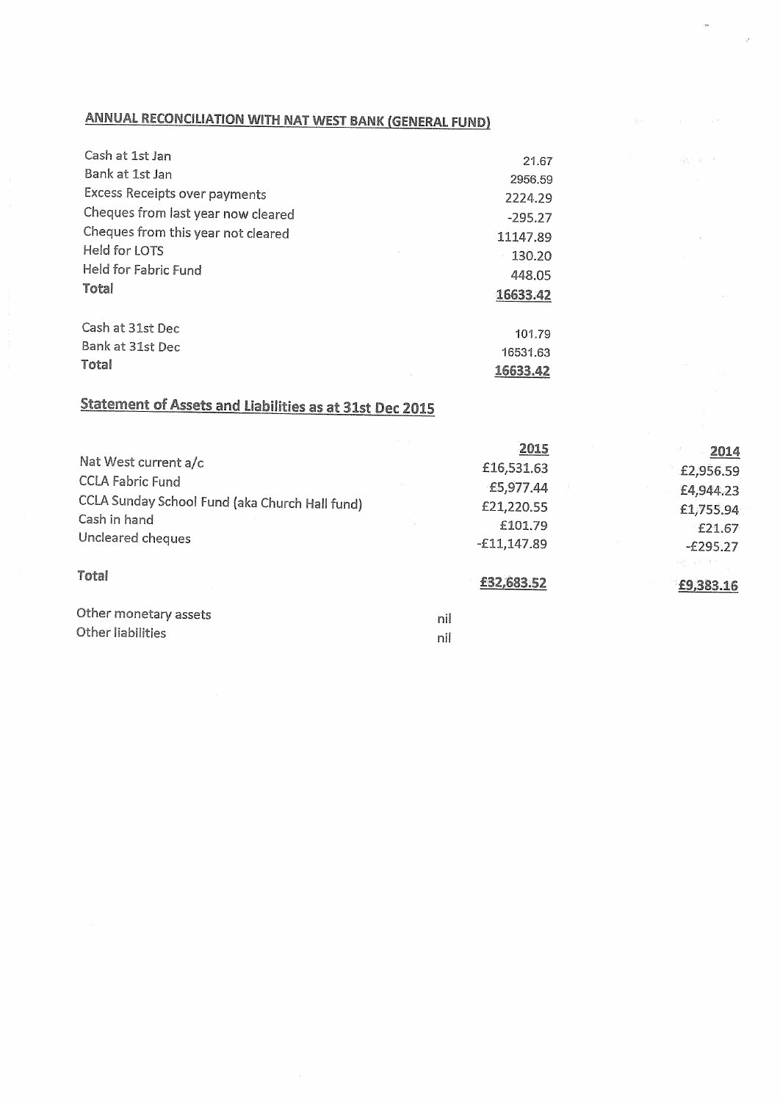## **ANNUAL RECONCILIATION WITH NAT WEST BANK (GENERAL FUND)**

| Cash at 1st Jan                    | 21.67     |
|------------------------------------|-----------|
| Bank at 1st Jan                    | 2956.59   |
| Excess Receipts over payments      | 2224.29   |
| Cheques from last year now cleared | $-295.27$ |
| Cheques from this year not cleared | 11147.89  |
| Held for LOTS                      | 130.20    |
| Held for Fabric Fund               | 448.05    |
| Total                              | 16633.42  |
| Cash at 31st Dec                   |           |
| Bank at 31st Dec                   | 101.79    |
|                                    | 16531.63  |
| Total                              | 16633.42  |

# **Statement of Assets and Liabilities as at 31st Dec 2015**

|                                                | 2015          | 2014       |
|------------------------------------------------|---------------|------------|
| Nat West current a/c                           | £16,531.63    | £2,956.59  |
| <b>CCLA Fabric Fund</b>                        | £5,977.44     | £4,944.23  |
| CCLA Sunday School Fund (aka Church Hall fund) | £21,220.55    | £1,755.94  |
| Cash in hand                                   | £101.79       | £21.67     |
| Uncleared cheques                              | $-£11,147.89$ | $-£295.27$ |
| <b>Total</b>                                   |               | 医膝下肌 化溴苯   |
|                                                | £32,683.52    | £9,383.16  |
| Other monetary assets                          | nil           |            |
| Other liabilities                              | nil           |            |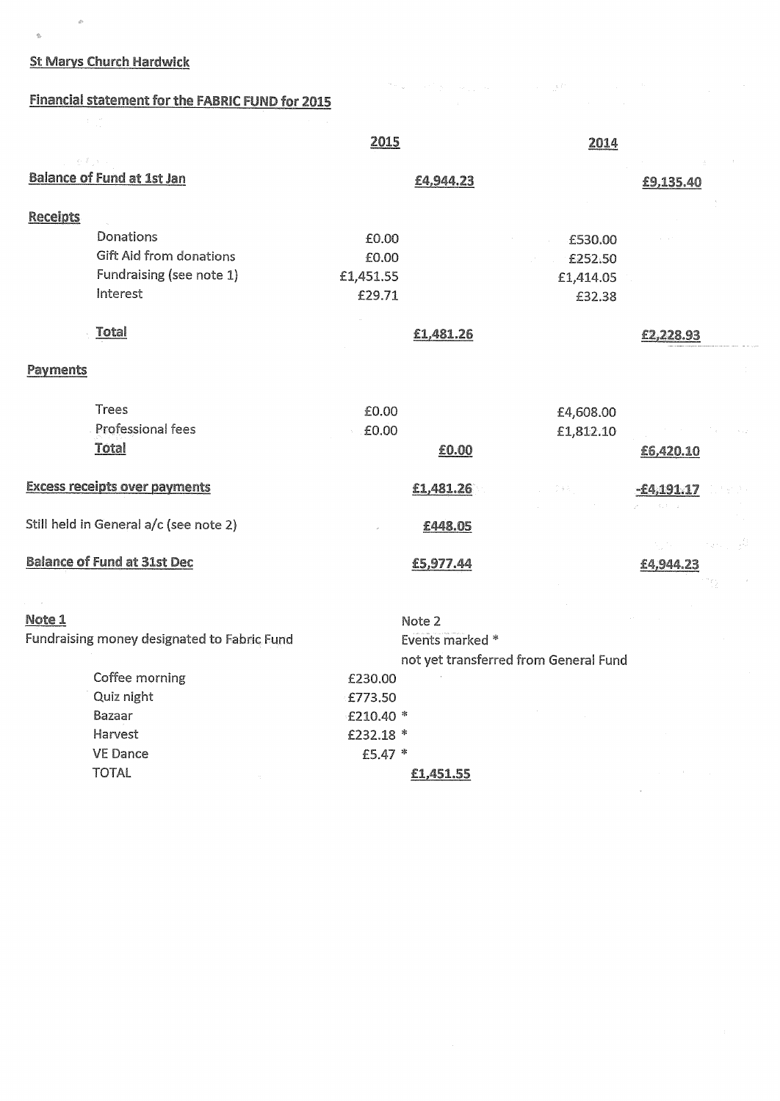## **St Marys Church Hardwick**

Harvest VE Dance

**TOTAL** 

 $\langle \hat{q} \rangle$ 

 $\frac{d}{dt}$ 

## **Financial statement for the FABRIC FUND for 2015**

|                                             | 2015            | 2014                                  |              |
|---------------------------------------------|-----------------|---------------------------------------|--------------|
|                                             |                 |                                       |              |
| <b>Balance of Fund at 1st Jan</b>           | £4,944.23       |                                       | £9,135.40    |
|                                             |                 |                                       |              |
| <b>Receipts</b>                             |                 |                                       |              |
| Donations                                   | £0.00           | £530.00                               |              |
| <b>Gift Aid from donations</b>              | £0.00           | £252.50                               |              |
| Fundraising (see note 1)                    | £1,451.55       | £1,414.05                             |              |
| Interest                                    | £29.71          | £32.38                                |              |
| <b>Total</b>                                | £1,481.26       |                                       | £2,228.93    |
| Payments                                    |                 |                                       |              |
| <b>Trees</b>                                | £0.00           | £4,608.00                             |              |
| Professional fees                           | £0.00           | £1,812.10                             |              |
| <b>Total</b>                                | £0.00           |                                       | £6,420.10    |
| <b>Excess receipts over payments</b>        | £1,481.26       | D e si                                | $-64,191,17$ |
| Still held in General a/c (see note 2)      | £448.05         |                                       |              |
|                                             |                 |                                       |              |
| <b>Balance of Fund at 31st Dec</b>          | £5,977.44       |                                       | £4,944.23    |
| Note 1                                      | Note 2          |                                       |              |
| Fundraising money designated to Fabric Fund | Events marked * |                                       |              |
|                                             |                 | not yet transferred from General Fund |              |
| Coffee morning                              | £230.00         |                                       |              |
| Quiz night                                  | £773.50         |                                       |              |
| Bazaar                                      | $f210.40*$      |                                       |              |
|                                             |                 |                                       |              |

 $\mathcal{I}^{\mathcal{A}}(\omega) = \{ \mathcal{I}^{\mathcal{A}}(\omega) \mid \omega_{\mathcal{A}}(\omega) \leq \omega \} \quad \text{and} \quad \mathcal{I}^{\mathcal{A}}(\omega) = \mathcal{I}^{\mathcal{A}}(\omega) \mathcal{I}^{\mathcal{A}}(\omega)$ 

£210.40 \* £232.18 \*

£5.47 \*

£1,451.55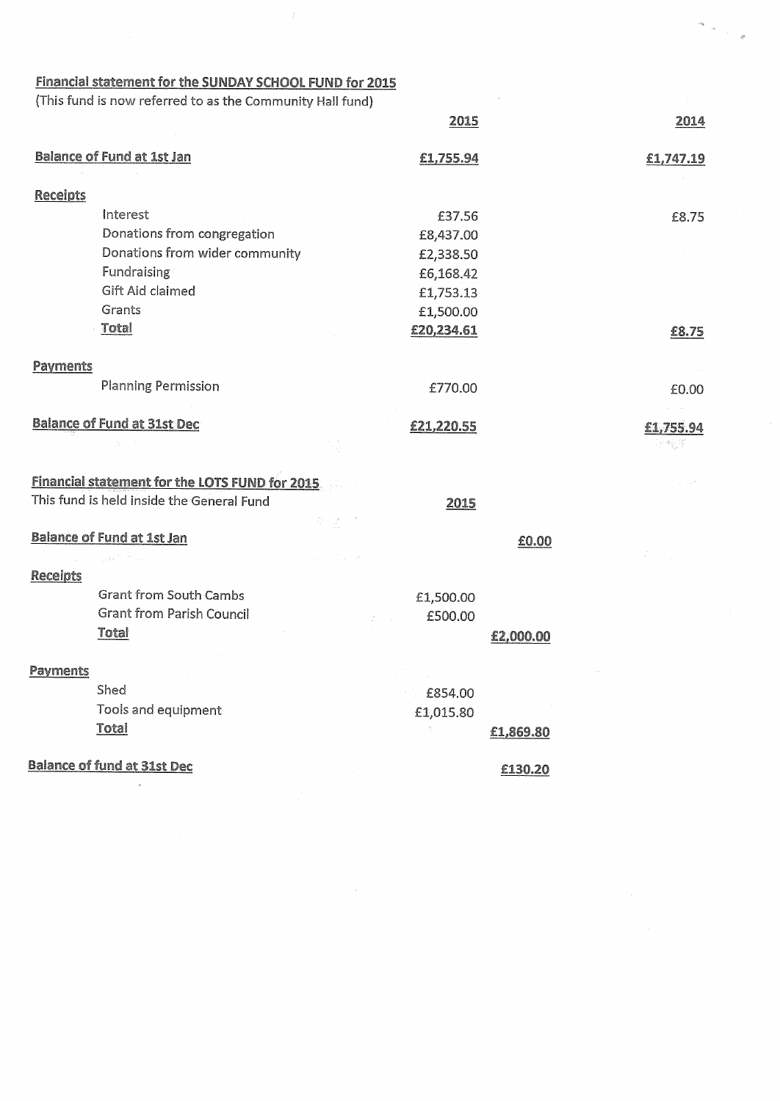|                 | Financial statement for the SUNDAY SCHOOL FUND for 2015   |            |           |            |
|-----------------|-----------------------------------------------------------|------------|-----------|------------|
|                 | (This fund is now referred to as the Community Hall fund) |            |           |            |
|                 |                                                           | 2015       |           | 2014       |
|                 | <b>Balance of Fund at 1st Jan</b>                         | £1,755.94  |           | £1,747.19  |
| <b>Receipts</b> |                                                           |            |           |            |
|                 | Interest                                                  | £37.56     |           | £8.75      |
|                 | Donations from congregation                               | £8,437.00  |           |            |
|                 | Donations from wider community                            | £2,338.50  |           |            |
|                 | Fundraising                                               | £6,168.42  |           |            |
|                 | Gift Aid claimed                                          | £1,753.13  |           |            |
|                 | Grants                                                    | £1,500.00  |           |            |
|                 | <b>Total</b>                                              | £20,234.61 |           | £8.75      |
| Payments        |                                                           |            |           |            |
|                 | <b>Planning Permission</b>                                | £770.00    |           | £0.00      |
|                 | <b>Balance of Fund at 31st Dec</b>                        | £21,220.55 |           | £1,755.94  |
|                 |                                                           |            |           | i na giyar |
|                 | <b>Financial statement for the LOTS FUND for 2015.</b>    |            |           |            |
|                 | This fund is held inside the General Fund                 | 2015       |           |            |
|                 |                                                           |            |           |            |
|                 | <b>Balance of Fund at 1st Jan</b>                         |            | £0.00     |            |
| <b>Receipts</b> | in 1970.                                                  |            |           |            |
|                 | <b>Grant from South Cambs</b>                             | £1,500.00  |           |            |
|                 | <b>Grant from Parish Council</b>                          | £500.00    |           |            |
|                 | <b>Total</b>                                              |            | £2,000.00 |            |
| Payments        |                                                           |            |           |            |
|                 | Shed                                                      | £854.00    |           |            |
|                 | Tools and equipment                                       | £1,015.80  |           |            |
|                 | <b>Total</b>                                              |            | £1,869.80 |            |
|                 | <b>Balance of fund at 31st Dec</b>                        |            | £130.20   |            |

 $\frac{1}{\sqrt{2}}\int_{\mathbb{R}^2} \frac{1}{\sqrt{2}}\,d\mu$